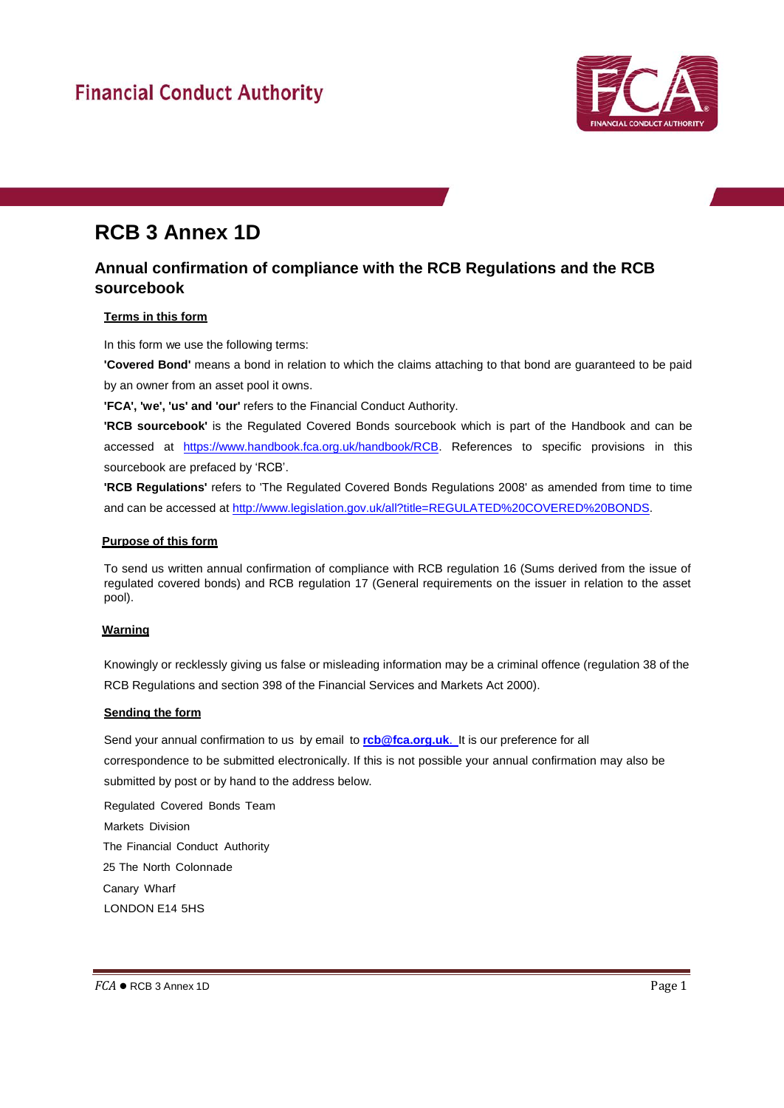# **Financial Conduct Authority**



# **RCB 3 Annex 1D**

# **Annual confirmation of compliance with the RCB Regulations and the RCB sourcebook**

## **Terms in this form**

In this form we use the following terms:

**'Covered Bond'** means a bond in relation to which the claims attaching to that bond are guaranteed to be paid by an owner from an asset pool it owns.

**'FCA', 'we', 'us' and 'our'** refers to the Financial Conduct Authority.

**'RCB sourcebook'** is the Regulated Covered Bonds sourcebook which is part of the Handbook and can be accessed at [https://www.handbook.fca.org.uk/handbook/RCB.](https://www.handbook.fca.org.uk/handbook/RCB) References to specific provisions in this sourcebook are prefaced by 'RCB'.

**'RCB Regulations'** refers to 'The Regulated Covered Bonds Regulations 2008' as amended from time to time and can be accessed at [http://www.legislation.gov.uk/all?title=REGULATED%20COVERED%20BONDS.](http://www.legislation.gov.uk/all?title=REGULATED%20COVERED%20BONDS)

#### **Purpose of this form**

To send us written annual confirmation of compliance with RCB regulation 16 (Sums derived from the issue of regulated covered bonds) and RCB regulation 17 (General requirements on the issuer in relation to the asset pool).

## **Warning**

Knowingly or recklessly giving us false or misleading information may be a criminal offence (regulation 38 of the RCB Regulations and section 398 of the Financial Services and Markets Act 2000).

## **Sending the form**

Send your annual confirmation to us by email to **[rcb@fca.org.uk](mailto:rcb@fca.org.uk.)**. It is our preference for all

correspondence to be submitted electronically. If this is not possible your annual confirmation may also be submitted by post or by hand to the address below.

Regulated Covered Bonds Team Markets Division The Financial Conduct Authority 25 The North Colonnade Canary Wharf LONDON E14 5HS